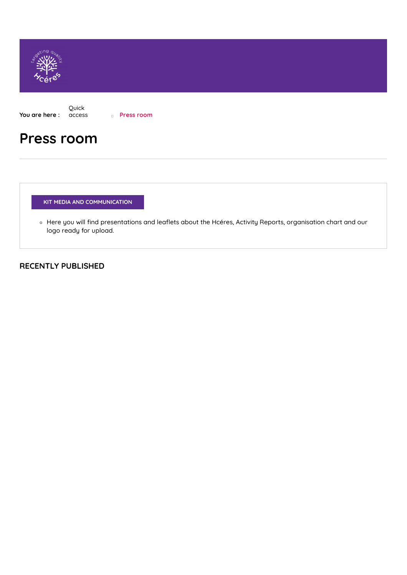

**You are here :** Quick [access](https://www.hceres.fr/en/quick-access) **Press room**

# **Press room**

**KIT MEDIA AND COMMUNICATION**

o Here you will find [presentations](https://www.hceres.fr/en/node/1995/) and leaflets about the Hcéres, Activity Reports, organisation chart and our logo ready for upload.

## **RECENTLY PUBLISHED**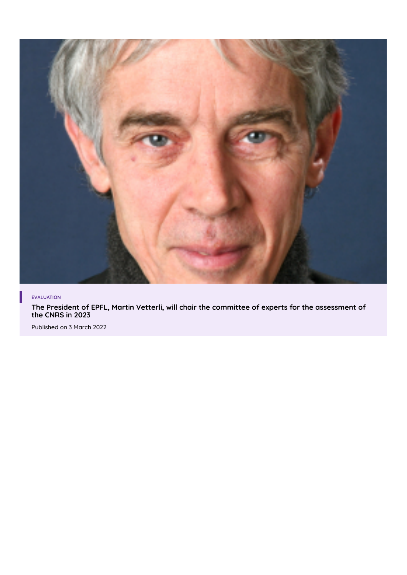

#### **EVALUATION**

**The President of EPFL, Martin Vetterli, will chair the committee of experts for the [assessment](https://www.hceres.fr/en/press-release/president-epfl-martin-vetterli-will-chair-committee-experts-assessment-cnrs-2023) of the CNRS in 2023**

Published on 3 March 2022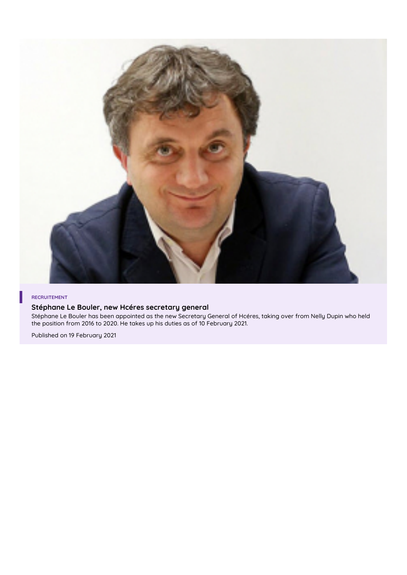

#### **RECRUITEMENT**

#### **Stéphane Le Bouler, new Hcéres [secretary](https://www.hceres.fr/en/dossiers-et-communiques/stephane-le-bouler-new-hceres-secretary-general) general**

Stéphane Le Bouler has been appointed as the new Secretary General of Hcéres, taking over from Nelly Dupin who held the position from 2016 to 2020. He takes up his duties as of 10 February 2021.

Published on 19 February 2021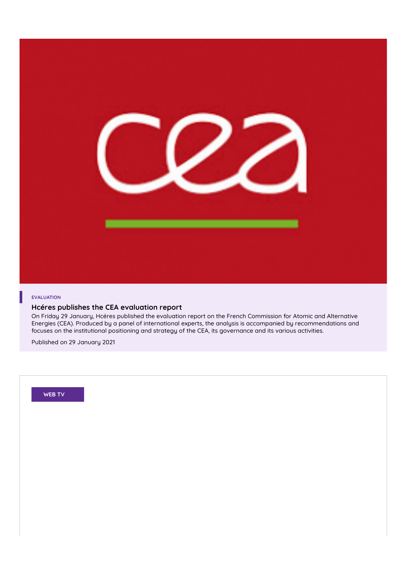

#### **EVALUATION**

#### **Hcéres publishes the CEA evaluation report**

On Friday 29 January, Hcéres published the evaluation report on the French Commission for Atomic and Alternative Energies (CEA). Produced by a panel of international experts, the analysis is accompanied by [recommendations](https://www.hceres.fr/en/dossiers-et-communiques/hceres-publishes-cea-evaluation-report) and focuses on the institutional positioning and strategy of the CEA, its governance and its various activities.

Published on 29 January 2021

**WEB TV**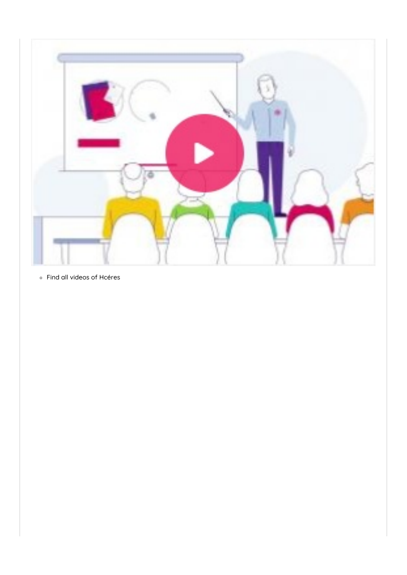

Find all videos of [Hcéres](https://www.hceres.fr/fr/web_tv)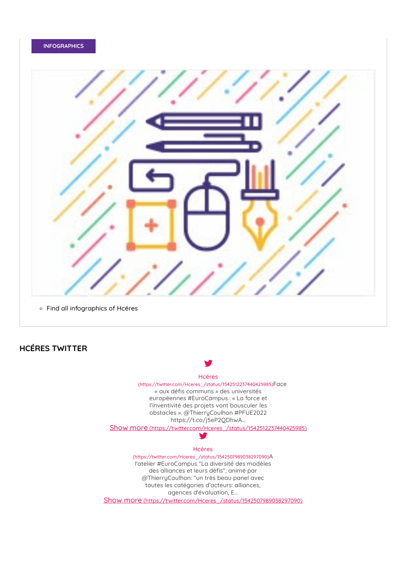#### **INFOGRAPHICS**



### **HCÉRES TWITTER**



agences d'évaluation, E...

Show more [\(https://twitter.com/Hceres\\_/status/1542507989038297090\)](https://twitter.com/Hceres_/status/1542507989038297090)